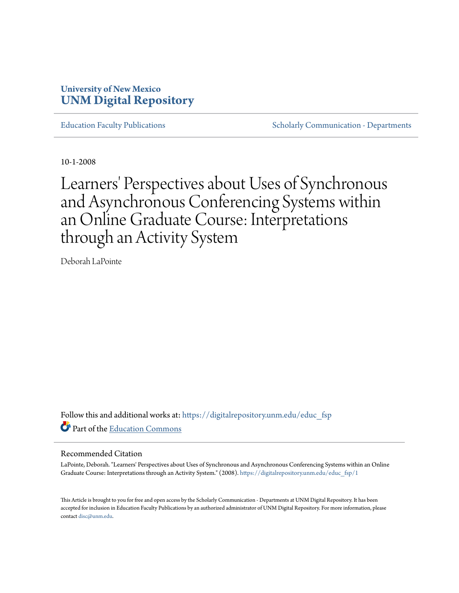# **University of New Mexico [UNM Digital Repository](https://digitalrepository.unm.edu?utm_source=digitalrepository.unm.edu%2Feduc_fsp%2F1&utm_medium=PDF&utm_campaign=PDFCoverPages)**

[Education Faculty Publications](https://digitalrepository.unm.edu/educ_fsp?utm_source=digitalrepository.unm.edu%2Feduc_fsp%2F1&utm_medium=PDF&utm_campaign=PDFCoverPages) **[Scholarly Communication - Departments](https://digitalrepository.unm.edu/departments?utm_source=digitalrepository.unm.edu%2Feduc_fsp%2F1&utm_medium=PDF&utm_campaign=PDFCoverPages)** Scholarly Communication - Departments

10-1-2008

Learners' Perspectives about Uses of Synchronous and Asynchronous Conferencing Systems within an Online Graduate Course: Interpretations through an Activity System

Deborah LaPointe

Follow this and additional works at: [https://digitalrepository.unm.edu/educ\\_fsp](https://digitalrepository.unm.edu/educ_fsp?utm_source=digitalrepository.unm.edu%2Feduc_fsp%2F1&utm_medium=PDF&utm_campaign=PDFCoverPages) Part of the [Education Commons](http://network.bepress.com/hgg/discipline/784?utm_source=digitalrepository.unm.edu%2Feduc_fsp%2F1&utm_medium=PDF&utm_campaign=PDFCoverPages)

### Recommended Citation

LaPointe, Deborah. "Learners' Perspectives about Uses of Synchronous and Asynchronous Conferencing Systems within an Online Graduate Course: Interpretations through an Activity System." (2008). [https://digitalrepository.unm.edu/educ\\_fsp/1](https://digitalrepository.unm.edu/educ_fsp/1?utm_source=digitalrepository.unm.edu%2Feduc_fsp%2F1&utm_medium=PDF&utm_campaign=PDFCoverPages)

This Article is brought to you for free and open access by the Scholarly Communication - Departments at UNM Digital Repository. It has been accepted for inclusion in Education Faculty Publications by an authorized administrator of UNM Digital Repository. For more information, please contact [disc@unm.edu.](mailto:disc@unm.edu)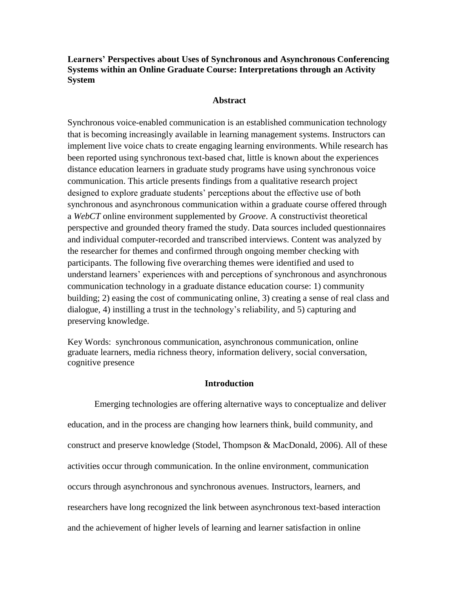**Learners' Perspectives about Uses of Synchronous and Asynchronous Conferencing Systems within an Online Graduate Course: Interpretations through an Activity System**

# **Abstract**

Synchronous voice-enabled communication is an established communication technology that is becoming increasingly available in learning management systems. Instructors can implement live voice chats to create engaging learning environments. While research has been reported using synchronous text-based chat, little is known about the experiences distance education learners in graduate study programs have using synchronous voice communication. This article presents findings from a qualitative research project designed to explore graduate students' perceptions about the effective use of both synchronous and asynchronous communication within a graduate course offered through a *WebCT* online environment supplemented by *Groove*. A constructivist theoretical perspective and grounded theory framed the study. Data sources included questionnaires and individual computer-recorded and transcribed interviews. Content was analyzed by the researcher for themes and confirmed through ongoing member checking with participants. The following five overarching themes were identified and used to understand learners' experiences with and perceptions of synchronous and asynchronous communication technology in a graduate distance education course: 1) community building; 2) easing the cost of communicating online, 3) creating a sense of real class and dialogue, 4) instilling a trust in the technology's reliability, and 5) capturing and preserving knowledge.

Key Words: synchronous communication, asynchronous communication, online graduate learners, media richness theory, information delivery, social conversation, cognitive presence

# **Introduction**

Emerging technologies are offering alternative ways to conceptualize and deliver education, and in the process are changing how learners think, build community, and construct and preserve knowledge (Stodel, Thompson & MacDonald, 2006). All of these activities occur through communication. In the online environment, communication occurs through asynchronous and synchronous avenues. Instructors, learners, and researchers have long recognized the link between asynchronous text-based interaction and the achievement of higher levels of learning and learner satisfaction in online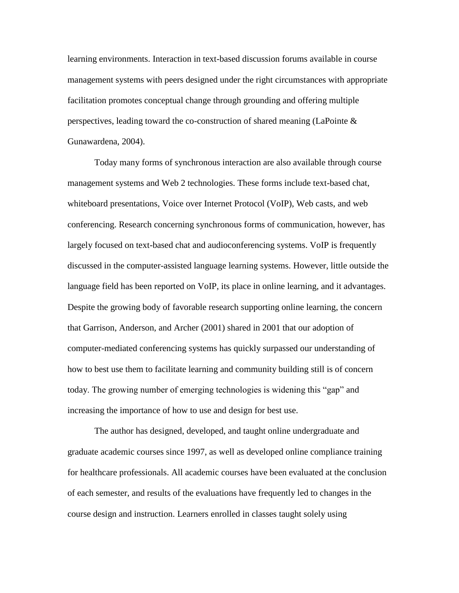learning environments. Interaction in text-based discussion forums available in course management systems with peers designed under the right circumstances with appropriate facilitation promotes conceptual change through grounding and offering multiple perspectives, leading toward the co-construction of shared meaning (LaPointe & Gunawardena, 2004).

Today many forms of synchronous interaction are also available through course management systems and Web 2 technologies. These forms include text-based chat, whiteboard presentations, Voice over Internet Protocol (VoIP), Web casts, and web conferencing. Research concerning synchronous forms of communication, however, has largely focused on text-based chat and audioconferencing systems. VoIP is frequently discussed in the computer-assisted language learning systems. However, little outside the language field has been reported on VoIP, its place in online learning, and it advantages. Despite the growing body of favorable research supporting online learning, the concern that Garrison, Anderson, and Archer (2001) shared in 2001 that our adoption of computer-mediated conferencing systems has quickly surpassed our understanding of how to best use them to facilitate learning and community building still is of concern today. The growing number of emerging technologies is widening this "gap" and increasing the importance of how to use and design for best use.

The author has designed, developed, and taught online undergraduate and graduate academic courses since 1997, as well as developed online compliance training for healthcare professionals. All academic courses have been evaluated at the conclusion of each semester, and results of the evaluations have frequently led to changes in the course design and instruction. Learners enrolled in classes taught solely using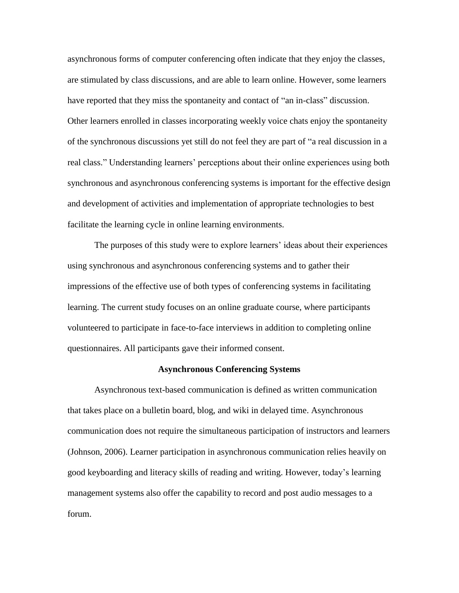asynchronous forms of computer conferencing often indicate that they enjoy the classes, are stimulated by class discussions, and are able to learn online. However, some learners have reported that they miss the spontaneity and contact of "an in-class" discussion. Other learners enrolled in classes incorporating weekly voice chats enjoy the spontaneity of the synchronous discussions yet still do not feel they are part of "a real discussion in a real class." Understanding learners' perceptions about their online experiences using both synchronous and asynchronous conferencing systems is important for the effective design and development of activities and implementation of appropriate technologies to best facilitate the learning cycle in online learning environments.

The purposes of this study were to explore learners' ideas about their experiences using synchronous and asynchronous conferencing systems and to gather their impressions of the effective use of both types of conferencing systems in facilitating learning. The current study focuses on an online graduate course, where participants volunteered to participate in face-to-face interviews in addition to completing online questionnaires. All participants gave their informed consent.

### **Asynchronous Conferencing Systems**

Asynchronous text-based communication is defined as written communication that takes place on a bulletin board, blog, and wiki in delayed time. Asynchronous communication does not require the simultaneous participation of instructors and learners (Johnson, 2006). Learner participation in asynchronous communication relies heavily on good keyboarding and literacy skills of reading and writing. However, today's learning management systems also offer the capability to record and post audio messages to a forum.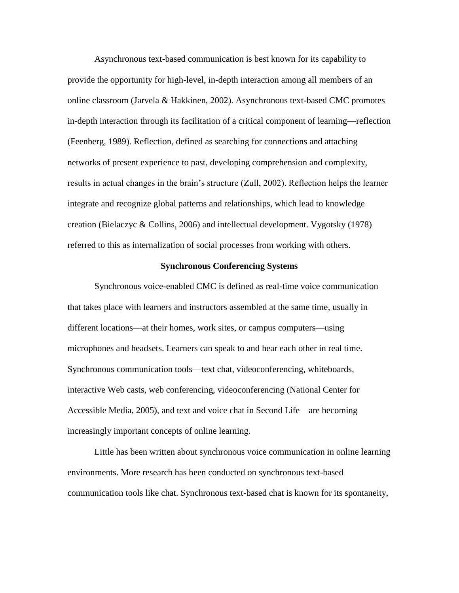Asynchronous text-based communication is best known for its capability to provide the opportunity for high-level, in-depth interaction among all members of an online classroom (Jarvela & Hakkinen, 2002). Asynchronous text-based CMC promotes in-depth interaction through its facilitation of a critical component of learning—reflection (Feenberg, 1989). Reflection, defined as searching for connections and attaching networks of present experience to past, developing comprehension and complexity, results in actual changes in the brain's structure (Zull, 2002). Reflection helps the learner integrate and recognize global patterns and relationships, which lead to knowledge creation (Bielaczyc & Collins, 2006) and intellectual development. Vygotsky (1978) referred to this as internalization of social processes from working with others.

### **Synchronous Conferencing Systems**

Synchronous voice-enabled CMC is defined as real-time voice communication that takes place with learners and instructors assembled at the same time, usually in different locations—at their homes, work sites, or campus computers—using microphones and headsets. Learners can speak to and hear each other in real time. Synchronous communication tools—text chat, videoconferencing, whiteboards, interactive Web casts, web conferencing, videoconferencing (National Center for Accessible Media, 2005), and text and voice chat in Second Life—are becoming increasingly important concepts of online learning.

Little has been written about synchronous voice communication in online learning environments. More research has been conducted on synchronous text-based communication tools like chat. Synchronous text-based chat is known for its spontaneity,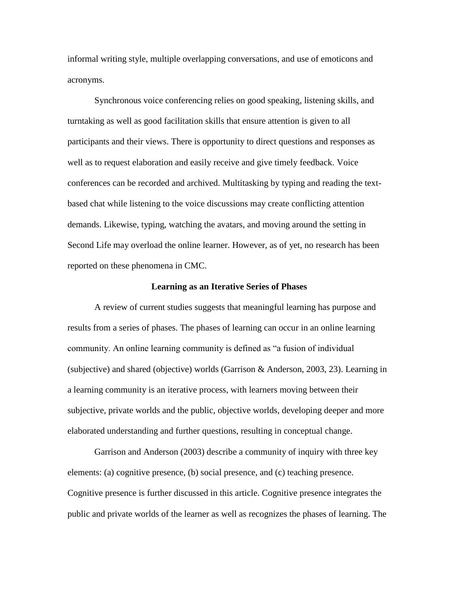informal writing style, multiple overlapping conversations, and use of emoticons and acronyms.

Synchronous voice conferencing relies on good speaking, listening skills, and turntaking as well as good facilitation skills that ensure attention is given to all participants and their views. There is opportunity to direct questions and responses as well as to request elaboration and easily receive and give timely feedback. Voice conferences can be recorded and archived. Multitasking by typing and reading the textbased chat while listening to the voice discussions may create conflicting attention demands. Likewise, typing, watching the avatars, and moving around the setting in Second Life may overload the online learner. However, as of yet, no research has been reported on these phenomena in CMC.

#### **Learning as an Iterative Series of Phases**

A review of current studies suggests that meaningful learning has purpose and results from a series of phases. The phases of learning can occur in an online learning community. An online learning community is defined as "a fusion of individual (subjective) and shared (objective) worlds (Garrison & Anderson, 2003, 23). Learning in a learning community is an iterative process, with learners moving between their subjective, private worlds and the public, objective worlds, developing deeper and more elaborated understanding and further questions, resulting in conceptual change.

Garrison and Anderson (2003) describe a community of inquiry with three key elements: (a) cognitive presence, (b) social presence, and (c) teaching presence. Cognitive presence is further discussed in this article. Cognitive presence integrates the public and private worlds of the learner as well as recognizes the phases of learning. The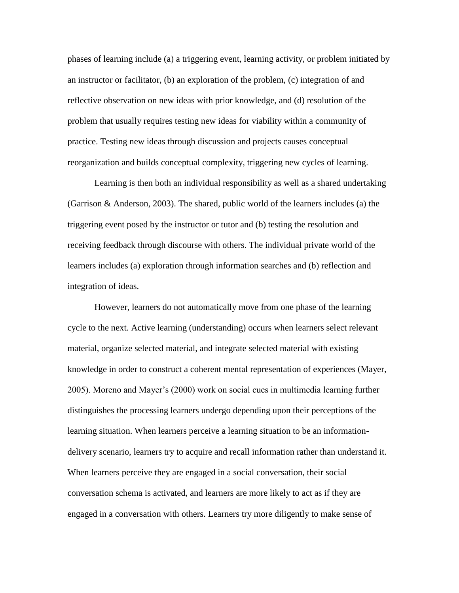phases of learning include (a) a triggering event, learning activity, or problem initiated by an instructor or facilitator, (b) an exploration of the problem, (c) integration of and reflective observation on new ideas with prior knowledge, and (d) resolution of the problem that usually requires testing new ideas for viability within a community of practice. Testing new ideas through discussion and projects causes conceptual reorganization and builds conceptual complexity, triggering new cycles of learning.

Learning is then both an individual responsibility as well as a shared undertaking (Garrison & Anderson, 2003). The shared, public world of the learners includes (a) the triggering event posed by the instructor or tutor and (b) testing the resolution and receiving feedback through discourse with others. The individual private world of the learners includes (a) exploration through information searches and (b) reflection and integration of ideas.

However, learners do not automatically move from one phase of the learning cycle to the next. Active learning (understanding) occurs when learners select relevant material, organize selected material, and integrate selected material with existing knowledge in order to construct a coherent mental representation of experiences (Mayer, 2005). Moreno and Mayer's (2000) work on social cues in multimedia learning further distinguishes the processing learners undergo depending upon their perceptions of the learning situation. When learners perceive a learning situation to be an informationdelivery scenario, learners try to acquire and recall information rather than understand it. When learners perceive they are engaged in a social conversation, their social conversation schema is activated, and learners are more likely to act as if they are engaged in a conversation with others. Learners try more diligently to make sense of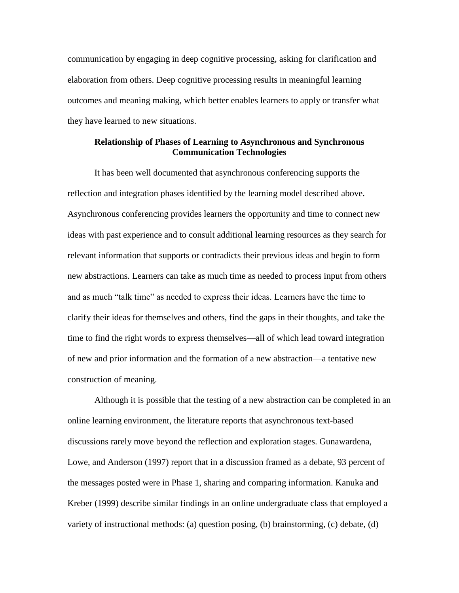communication by engaging in deep cognitive processing, asking for clarification and elaboration from others. Deep cognitive processing results in meaningful learning outcomes and meaning making, which better enables learners to apply or transfer what they have learned to new situations.

# **Relationship of Phases of Learning to Asynchronous and Synchronous Communication Technologies**

It has been well documented that asynchronous conferencing supports the reflection and integration phases identified by the learning model described above. Asynchronous conferencing provides learners the opportunity and time to connect new ideas with past experience and to consult additional learning resources as they search for relevant information that supports or contradicts their previous ideas and begin to form new abstractions. Learners can take as much time as needed to process input from others and as much "talk time" as needed to express their ideas. Learners have the time to clarify their ideas for themselves and others, find the gaps in their thoughts, and take the time to find the right words to express themselves—all of which lead toward integration of new and prior information and the formation of a new abstraction—a tentative new construction of meaning.

Although it is possible that the testing of a new abstraction can be completed in an online learning environment, the literature reports that asynchronous text-based discussions rarely move beyond the reflection and exploration stages. Gunawardena, Lowe, and Anderson (1997) report that in a discussion framed as a debate, 93 percent of the messages posted were in Phase 1, sharing and comparing information. Kanuka and Kreber (1999) describe similar findings in an online undergraduate class that employed a variety of instructional methods: (a) question posing, (b) brainstorming, (c) debate, (d)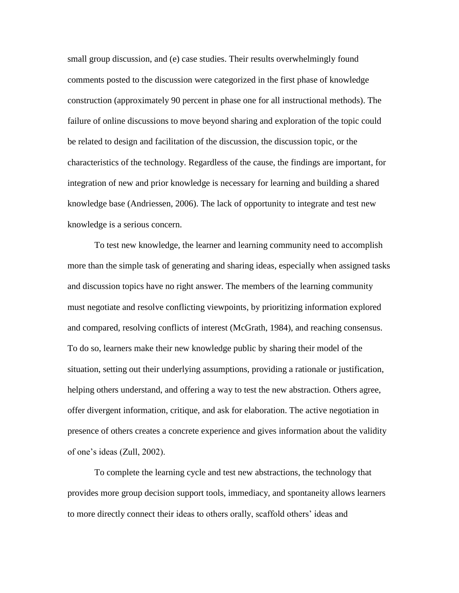small group discussion, and (e) case studies. Their results overwhelmingly found comments posted to the discussion were categorized in the first phase of knowledge construction (approximately 90 percent in phase one for all instructional methods). The failure of online discussions to move beyond sharing and exploration of the topic could be related to design and facilitation of the discussion, the discussion topic, or the characteristics of the technology. Regardless of the cause, the findings are important, for integration of new and prior knowledge is necessary for learning and building a shared knowledge base (Andriessen, 2006). The lack of opportunity to integrate and test new knowledge is a serious concern.

To test new knowledge, the learner and learning community need to accomplish more than the simple task of generating and sharing ideas, especially when assigned tasks and discussion topics have no right answer. The members of the learning community must negotiate and resolve conflicting viewpoints, by prioritizing information explored and compared, resolving conflicts of interest (McGrath, 1984), and reaching consensus. To do so, learners make their new knowledge public by sharing their model of the situation, setting out their underlying assumptions, providing a rationale or justification, helping others understand, and offering a way to test the new abstraction. Others agree, offer divergent information, critique, and ask for elaboration. The active negotiation in presence of others creates a concrete experience and gives information about the validity of one's ideas (Zull, 2002).

To complete the learning cycle and test new abstractions, the technology that provides more group decision support tools, immediacy, and spontaneity allows learners to more directly connect their ideas to others orally, scaffold others' ideas and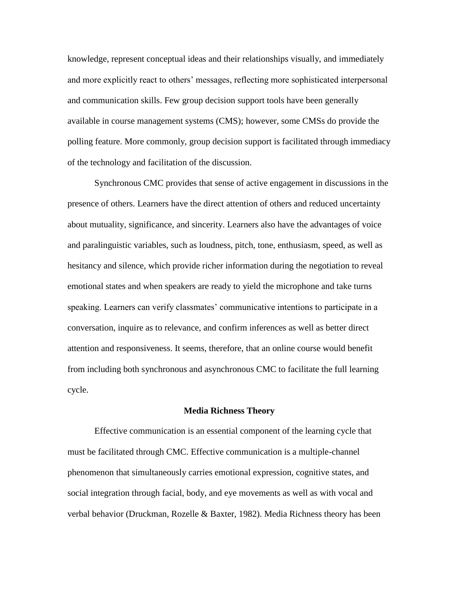knowledge, represent conceptual ideas and their relationships visually, and immediately and more explicitly react to others' messages, reflecting more sophisticated interpersonal and communication skills. Few group decision support tools have been generally available in course management systems (CMS); however, some CMSs do provide the polling feature. More commonly, group decision support is facilitated through immediacy of the technology and facilitation of the discussion.

Synchronous CMC provides that sense of active engagement in discussions in the presence of others. Learners have the direct attention of others and reduced uncertainty about mutuality, significance, and sincerity. Learners also have the advantages of voice and paralinguistic variables, such as loudness, pitch, tone, enthusiasm, speed, as well as hesitancy and silence, which provide richer information during the negotiation to reveal emotional states and when speakers are ready to yield the microphone and take turns speaking. Learners can verify classmates' communicative intentions to participate in a conversation, inquire as to relevance, and confirm inferences as well as better direct attention and responsiveness. It seems, therefore, that an online course would benefit from including both synchronous and asynchronous CMC to facilitate the full learning cycle.

#### **Media Richness Theory**

Effective communication is an essential component of the learning cycle that must be facilitated through CMC. Effective communication is a multiple-channel phenomenon that simultaneously carries emotional expression, cognitive states, and social integration through facial, body, and eye movements as well as with vocal and verbal behavior (Druckman, Rozelle & Baxter, 1982). Media Richness theory has been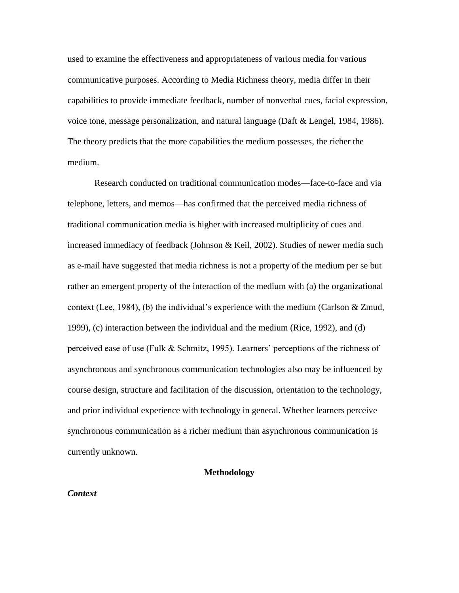used to examine the effectiveness and appropriateness of various media for various communicative purposes. According to Media Richness theory, media differ in their capabilities to provide immediate feedback, number of nonverbal cues, facial expression, voice tone, message personalization, and natural language (Daft & Lengel, 1984, 1986). The theory predicts that the more capabilities the medium possesses, the richer the medium.

Research conducted on traditional communication modes—face-to-face and via telephone, letters, and memos—has confirmed that the perceived media richness of traditional communication media is higher with increased multiplicity of cues and increased immediacy of feedback (Johnson & Keil, 2002). Studies of newer media such as e-mail have suggested that media richness is not a property of the medium per se but rather an emergent property of the interaction of the medium with (a) the organizational context (Lee, 1984), (b) the individual's experience with the medium (Carlson & Zmud, 1999), (c) interaction between the individual and the medium (Rice, 1992), and (d) perceived ease of use (Fulk & Schmitz, 1995). Learners' perceptions of the richness of asynchronous and synchronous communication technologies also may be influenced by course design, structure and facilitation of the discussion, orientation to the technology, and prior individual experience with technology in general. Whether learners perceive synchronous communication as a richer medium than asynchronous communication is currently unknown.

# **Methodology**

#### *Context*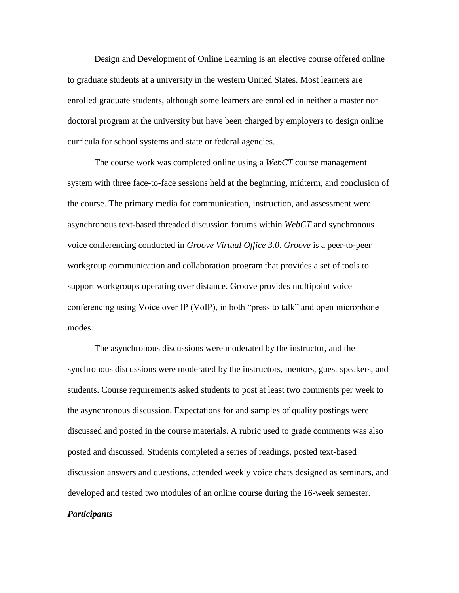Design and Development of Online Learning is an elective course offered online to graduate students at a university in the western United States. Most learners are enrolled graduate students, although some learners are enrolled in neither a master nor doctoral program at the university but have been charged by employers to design online curricula for school systems and state or federal agencies.

The course work was completed online using a *WebCT* course management system with three face-to-face sessions held at the beginning, midterm, and conclusion of the course. The primary media for communication, instruction, and assessment were asynchronous text-based threaded discussion forums within *WebCT* and synchronous voice conferencing conducted in *Groove Virtual Office 3.0*. *Groove* is a peer-to-peer workgroup communication and collaboration program that provides a set of tools to support workgroups operating over distance. Groove provides multipoint voice conferencing using Voice over IP (VoIP), in both "press to talk" and open microphone modes.

The asynchronous discussions were moderated by the instructor, and the synchronous discussions were moderated by the instructors, mentors, guest speakers, and students. Course requirements asked students to post at least two comments per week to the asynchronous discussion. Expectations for and samples of quality postings were discussed and posted in the course materials. A rubric used to grade comments was also posted and discussed. Students completed a series of readings, posted text-based discussion answers and questions, attended weekly voice chats designed as seminars, and developed and tested two modules of an online course during the 16-week semester. *Participants*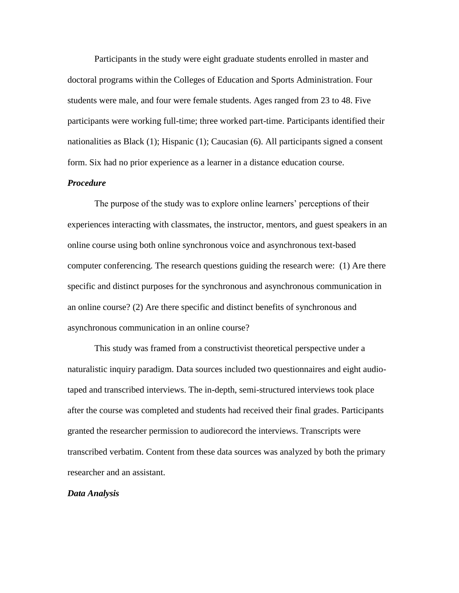Participants in the study were eight graduate students enrolled in master and doctoral programs within the Colleges of Education and Sports Administration. Four students were male, and four were female students. Ages ranged from 23 to 48. Five participants were working full-time; three worked part-time. Participants identified their nationalities as Black (1); Hispanic (1); Caucasian (6). All participants signed a consent form. Six had no prior experience as a learner in a distance education course.

### *Procedure*

The purpose of the study was to explore online learners' perceptions of their experiences interacting with classmates, the instructor, mentors, and guest speakers in an online course using both online synchronous voice and asynchronous text-based computer conferencing. The research questions guiding the research were: (1) Are there specific and distinct purposes for the synchronous and asynchronous communication in an online course? (2) Are there specific and distinct benefits of synchronous and asynchronous communication in an online course?

This study was framed from a constructivist theoretical perspective under a naturalistic inquiry paradigm. Data sources included two questionnaires and eight audiotaped and transcribed interviews. The in-depth, semi-structured interviews took place after the course was completed and students had received their final grades. Participants granted the researcher permission to audiorecord the interviews. Transcripts were transcribed verbatim. Content from these data sources was analyzed by both the primary researcher and an assistant.

# *Data Analysis*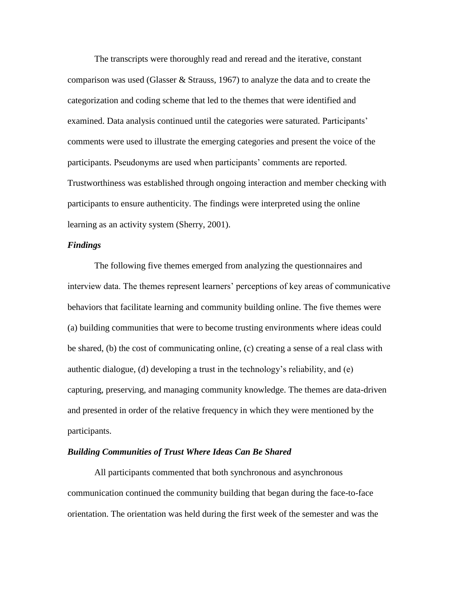The transcripts were thoroughly read and reread and the iterative, constant comparison was used (Glasser & Strauss, 1967) to analyze the data and to create the categorization and coding scheme that led to the themes that were identified and examined. Data analysis continued until the categories were saturated. Participants' comments were used to illustrate the emerging categories and present the voice of the participants. Pseudonyms are used when participants' comments are reported. Trustworthiness was established through ongoing interaction and member checking with participants to ensure authenticity. The findings were interpreted using the online learning as an activity system (Sherry, 2001).

# *Findings*

The following five themes emerged from analyzing the questionnaires and interview data. The themes represent learners' perceptions of key areas of communicative behaviors that facilitate learning and community building online. The five themes were (a) building communities that were to become trusting environments where ideas could be shared, (b) the cost of communicating online, (c) creating a sense of a real class with authentic dialogue, (d) developing a trust in the technology's reliability, and (e) capturing, preserving, and managing community knowledge. The themes are data-driven and presented in order of the relative frequency in which they were mentioned by the participants.

### *Building Communities of Trust Where Ideas Can Be Shared*

All participants commented that both synchronous and asynchronous communication continued the community building that began during the face-to-face orientation. The orientation was held during the first week of the semester and was the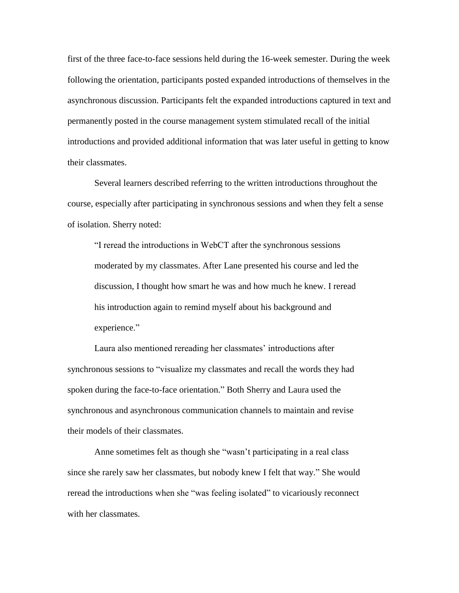first of the three face-to-face sessions held during the 16-week semester. During the week following the orientation, participants posted expanded introductions of themselves in the asynchronous discussion. Participants felt the expanded introductions captured in text and permanently posted in the course management system stimulated recall of the initial introductions and provided additional information that was later useful in getting to know their classmates.

Several learners described referring to the written introductions throughout the course, especially after participating in synchronous sessions and when they felt a sense of isolation. Sherry noted:

"I reread the introductions in WebCT after the synchronous sessions moderated by my classmates. After Lane presented his course and led the discussion, I thought how smart he was and how much he knew. I reread his introduction again to remind myself about his background and experience."

Laura also mentioned rereading her classmates' introductions after synchronous sessions to "visualize my classmates and recall the words they had spoken during the face-to-face orientation." Both Sherry and Laura used the synchronous and asynchronous communication channels to maintain and revise their models of their classmates.

Anne sometimes felt as though she "wasn't participating in a real class since she rarely saw her classmates, but nobody knew I felt that way." She would reread the introductions when she "was feeling isolated" to vicariously reconnect with her classmates.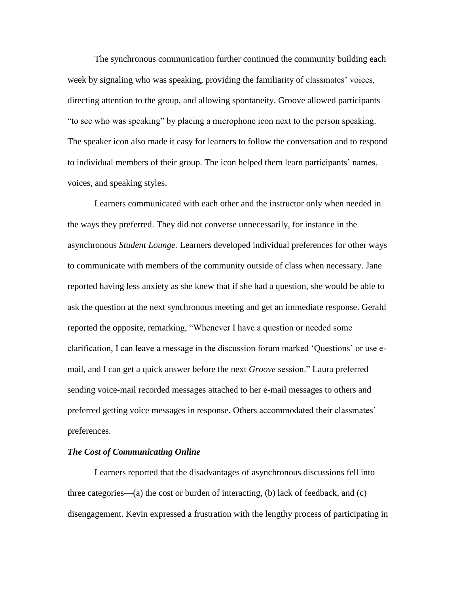The synchronous communication further continued the community building each week by signaling who was speaking, providing the familiarity of classmates' voices, directing attention to the group, and allowing spontaneity. Groove allowed participants "to see who was speaking" by placing a microphone icon next to the person speaking. The speaker icon also made it easy for learners to follow the conversation and to respond to individual members of their group. The icon helped them learn participants' names, voices, and speaking styles.

Learners communicated with each other and the instructor only when needed in the ways they preferred. They did not converse unnecessarily, for instance in the asynchronous *Student Lounge.* Learners developed individual preferences for other ways to communicate with members of the community outside of class when necessary. Jane reported having less anxiety as she knew that if she had a question, she would be able to ask the question at the next synchronous meeting and get an immediate response. Gerald reported the opposite, remarking, "Whenever I have a question or needed some clarification, I can leave a message in the discussion forum marked 'Questions' or use email, and I can get a quick answer before the next *Groove* session." Laura preferred sending voice-mail recorded messages attached to her e-mail messages to others and preferred getting voice messages in response. Others accommodated their classmates' preferences.

# *The Cost of Communicating Online*

Learners reported that the disadvantages of asynchronous discussions fell into three categories—(a) the cost or burden of interacting, (b) lack of feedback, and (c) disengagement. Kevin expressed a frustration with the lengthy process of participating in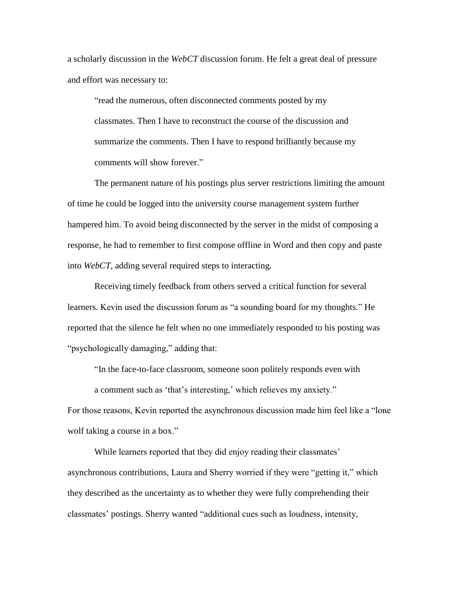a scholarly discussion in the *WebCT* discussion forum. He felt a great deal of pressure and effort was necessary to:

"read the numerous, often disconnected comments posted by my classmates. Then I have to reconstruct the course of the discussion and summarize the comments. Then I have to respond brilliantly because my comments will show forever."

The permanent nature of his postings plus server restrictions limiting the amount of time he could be logged into the university course management system further hampered him. To avoid being disconnected by the server in the midst of composing a response, he had to remember to first compose offline in Word and then copy and paste into *WebCT*, adding several required steps to interacting.

Receiving timely feedback from others served a critical function for several learners. Kevin used the discussion forum as "a sounding board for my thoughts." He reported that the silence he felt when no one immediately responded to his posting was "psychologically damaging," adding that:

"In the face-to-face classroom, someone soon politely responds even with a comment such as 'that's interesting,' which relieves my anxiety."

For those reasons, Kevin reported the asynchronous discussion made him feel like a "lone wolf taking a course in a box."

While learners reported that they did enjoy reading their classmates' asynchronous contributions, Laura and Sherry worried if they were "getting it," which they described as the uncertainty as to whether they were fully comprehending their classmates' postings. Sherry wanted "additional cues such as loudness, intensity,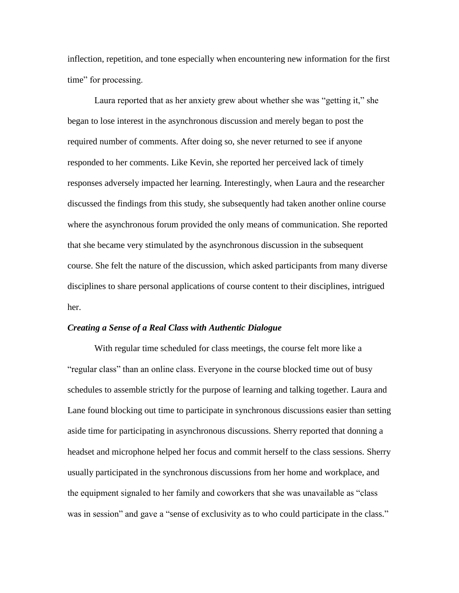inflection, repetition, and tone especially when encountering new information for the first time" for processing.

Laura reported that as her anxiety grew about whether she was "getting it," she began to lose interest in the asynchronous discussion and merely began to post the required number of comments. After doing so, she never returned to see if anyone responded to her comments. Like Kevin, she reported her perceived lack of timely responses adversely impacted her learning. Interestingly, when Laura and the researcher discussed the findings from this study, she subsequently had taken another online course where the asynchronous forum provided the only means of communication. She reported that she became very stimulated by the asynchronous discussion in the subsequent course. She felt the nature of the discussion, which asked participants from many diverse disciplines to share personal applications of course content to their disciplines, intrigued her.

# *Creating a Sense of a Real Class with Authentic Dialogue*

With regular time scheduled for class meetings, the course felt more like a "regular class" than an online class. Everyone in the course blocked time out of busy schedules to assemble strictly for the purpose of learning and talking together. Laura and Lane found blocking out time to participate in synchronous discussions easier than setting aside time for participating in asynchronous discussions. Sherry reported that donning a headset and microphone helped her focus and commit herself to the class sessions. Sherry usually participated in the synchronous discussions from her home and workplace, and the equipment signaled to her family and coworkers that she was unavailable as "class was in session" and gave a "sense of exclusivity as to who could participate in the class."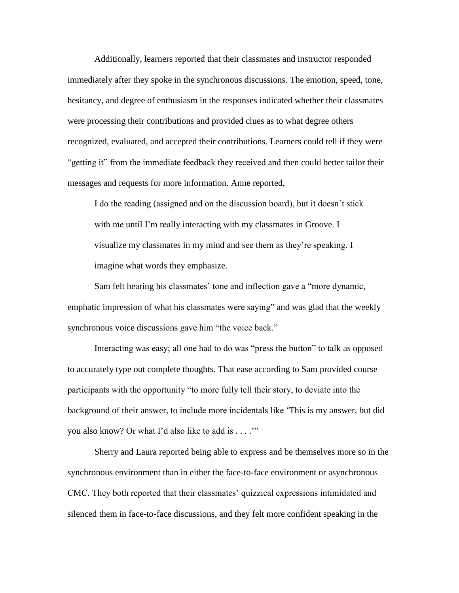Additionally, learners reported that their classmates and instructor responded immediately after they spoke in the synchronous discussions. The emotion, speed, tone, hesitancy, and degree of enthusiasm in the responses indicated whether their classmates were processing their contributions and provided clues as to what degree others recognized, evaluated, and accepted their contributions. Learners could tell if they were "getting it" from the immediate feedback they received and then could better tailor their messages and requests for more information. Anne reported,

I do the reading (assigned and on the discussion board), but it doesn't stick with me until I'm really interacting with my classmates in Groove. I visualize my classmates in my mind and see them as they're speaking. I imagine what words they emphasize.

Sam felt hearing his classmates' tone and inflection gave a "more dynamic, emphatic impression of what his classmates were saying" and was glad that the weekly synchronous voice discussions gave him "the voice back."

Interacting was easy; all one had to do was "press the button" to talk as opposed to accurately type out complete thoughts. That ease according to Sam provided course participants with the opportunity "to more fully tell their story, to deviate into the background of their answer, to include more incidentals like 'This is my answer, but did you also know? Or what I'd also like to add is . . . .'"

Sherry and Laura reported being able to express and be themselves more so in the synchronous environment than in either the face-to-face environment or asynchronous CMC. They both reported that their classmates' quizzical expressions intimidated and silenced them in face-to-face discussions, and they felt more confident speaking in the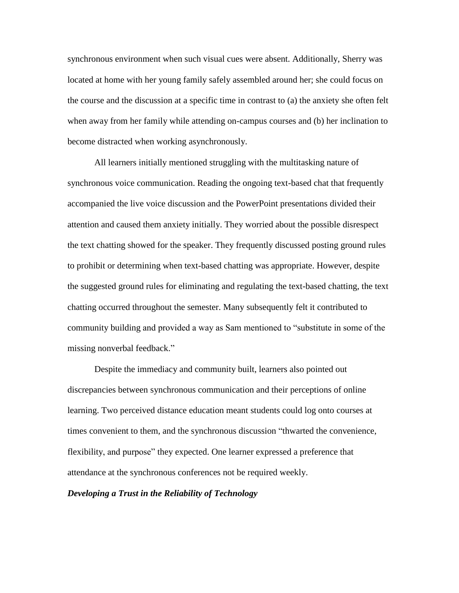synchronous environment when such visual cues were absent. Additionally, Sherry was located at home with her young family safely assembled around her; she could focus on the course and the discussion at a specific time in contrast to (a) the anxiety she often felt when away from her family while attending on-campus courses and (b) her inclination to become distracted when working asynchronously.

All learners initially mentioned struggling with the multitasking nature of synchronous voice communication. Reading the ongoing text-based chat that frequently accompanied the live voice discussion and the PowerPoint presentations divided their attention and caused them anxiety initially. They worried about the possible disrespect the text chatting showed for the speaker. They frequently discussed posting ground rules to prohibit or determining when text-based chatting was appropriate. However, despite the suggested ground rules for eliminating and regulating the text-based chatting, the text chatting occurred throughout the semester. Many subsequently felt it contributed to community building and provided a way as Sam mentioned to "substitute in some of the missing nonverbal feedback."

Despite the immediacy and community built, learners also pointed out discrepancies between synchronous communication and their perceptions of online learning. Two perceived distance education meant students could log onto courses at times convenient to them, and the synchronous discussion "thwarted the convenience, flexibility, and purpose" they expected. One learner expressed a preference that attendance at the synchronous conferences not be required weekly.

# *Developing a Trust in the Reliability of Technology*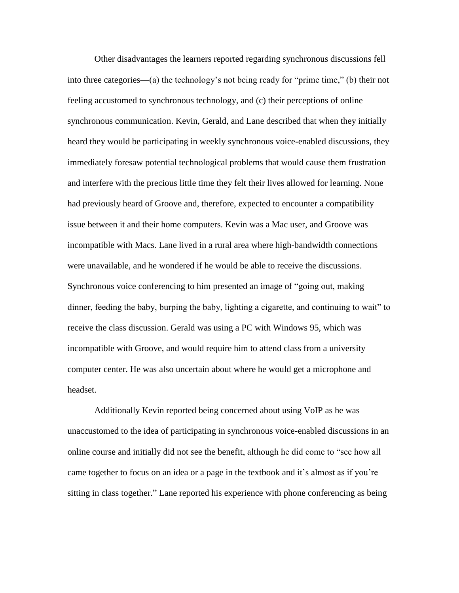Other disadvantages the learners reported regarding synchronous discussions fell into three categories—(a) the technology's not being ready for "prime time," (b) their not feeling accustomed to synchronous technology, and (c) their perceptions of online synchronous communication. Kevin, Gerald, and Lane described that when they initially heard they would be participating in weekly synchronous voice-enabled discussions, they immediately foresaw potential technological problems that would cause them frustration and interfere with the precious little time they felt their lives allowed for learning. None had previously heard of Groove and, therefore, expected to encounter a compatibility issue between it and their home computers. Kevin was a Mac user, and Groove was incompatible with Macs. Lane lived in a rural area where high-bandwidth connections were unavailable, and he wondered if he would be able to receive the discussions. Synchronous voice conferencing to him presented an image of "going out, making dinner, feeding the baby, burping the baby, lighting a cigarette, and continuing to wait" to receive the class discussion. Gerald was using a PC with Windows 95, which was incompatible with Groove, and would require him to attend class from a university computer center. He was also uncertain about where he would get a microphone and headset.

Additionally Kevin reported being concerned about using VoIP as he was unaccustomed to the idea of participating in synchronous voice-enabled discussions in an online course and initially did not see the benefit, although he did come to "see how all came together to focus on an idea or a page in the textbook and it's almost as if you're sitting in class together." Lane reported his experience with phone conferencing as being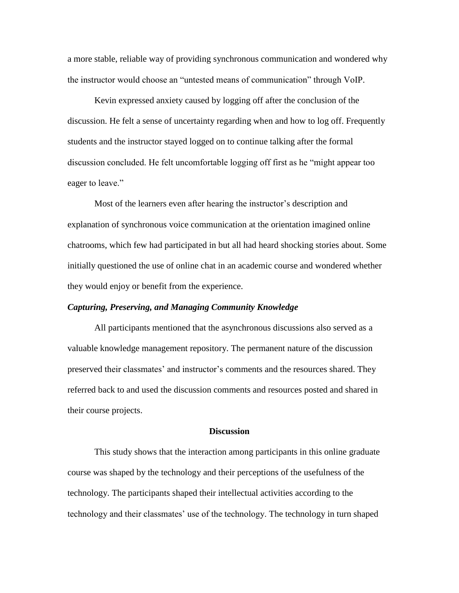a more stable, reliable way of providing synchronous communication and wondered why the instructor would choose an "untested means of communication" through VoIP.

Kevin expressed anxiety caused by logging off after the conclusion of the discussion. He felt a sense of uncertainty regarding when and how to log off. Frequently students and the instructor stayed logged on to continue talking after the formal discussion concluded. He felt uncomfortable logging off first as he "might appear too eager to leave."

Most of the learners even after hearing the instructor's description and explanation of synchronous voice communication at the orientation imagined online chatrooms, which few had participated in but all had heard shocking stories about. Some initially questioned the use of online chat in an academic course and wondered whether they would enjoy or benefit from the experience.

# *Capturing, Preserving, and Managing Community Knowledge*

All participants mentioned that the asynchronous discussions also served as a valuable knowledge management repository. The permanent nature of the discussion preserved their classmates' and instructor's comments and the resources shared. They referred back to and used the discussion comments and resources posted and shared in their course projects.

### **Discussion**

This study shows that the interaction among participants in this online graduate course was shaped by the technology and their perceptions of the usefulness of the technology. The participants shaped their intellectual activities according to the technology and their classmates' use of the technology. The technology in turn shaped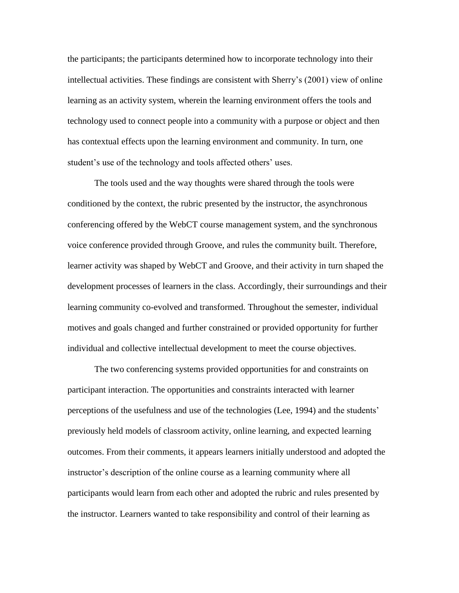the participants; the participants determined how to incorporate technology into their intellectual activities. These findings are consistent with Sherry's (2001) view of online learning as an activity system, wherein the learning environment offers the tools and technology used to connect people into a community with a purpose or object and then has contextual effects upon the learning environment and community. In turn, one student's use of the technology and tools affected others' uses.

The tools used and the way thoughts were shared through the tools were conditioned by the context, the rubric presented by the instructor, the asynchronous conferencing offered by the WebCT course management system, and the synchronous voice conference provided through Groove, and rules the community built. Therefore, learner activity was shaped by WebCT and Groove, and their activity in turn shaped the development processes of learners in the class. Accordingly, their surroundings and their learning community co-evolved and transformed. Throughout the semester, individual motives and goals changed and further constrained or provided opportunity for further individual and collective intellectual development to meet the course objectives.

The two conferencing systems provided opportunities for and constraints on participant interaction. The opportunities and constraints interacted with learner perceptions of the usefulness and use of the technologies (Lee, 1994) and the students' previously held models of classroom activity, online learning, and expected learning outcomes. From their comments, it appears learners initially understood and adopted the instructor's description of the online course as a learning community where all participants would learn from each other and adopted the rubric and rules presented by the instructor. Learners wanted to take responsibility and control of their learning as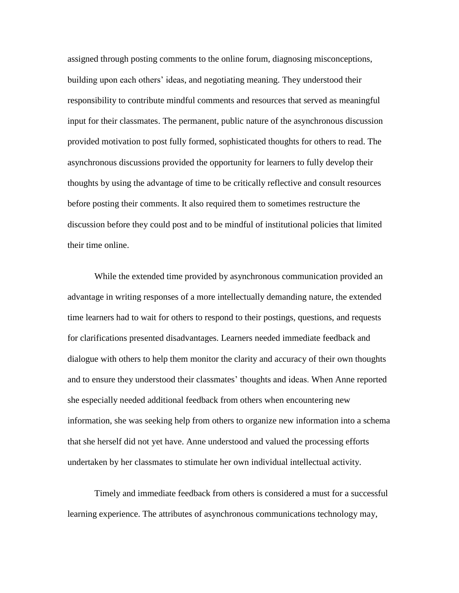assigned through posting comments to the online forum, diagnosing misconceptions, building upon each others' ideas, and negotiating meaning. They understood their responsibility to contribute mindful comments and resources that served as meaningful input for their classmates. The permanent, public nature of the asynchronous discussion provided motivation to post fully formed, sophisticated thoughts for others to read. The asynchronous discussions provided the opportunity for learners to fully develop their thoughts by using the advantage of time to be critically reflective and consult resources before posting their comments. It also required them to sometimes restructure the discussion before they could post and to be mindful of institutional policies that limited their time online.

While the extended time provided by asynchronous communication provided an advantage in writing responses of a more intellectually demanding nature, the extended time learners had to wait for others to respond to their postings, questions, and requests for clarifications presented disadvantages. Learners needed immediate feedback and dialogue with others to help them monitor the clarity and accuracy of their own thoughts and to ensure they understood their classmates' thoughts and ideas. When Anne reported she especially needed additional feedback from others when encountering new information, she was seeking help from others to organize new information into a schema that she herself did not yet have. Anne understood and valued the processing efforts undertaken by her classmates to stimulate her own individual intellectual activity.

Timely and immediate feedback from others is considered a must for a successful learning experience. The attributes of asynchronous communications technology may,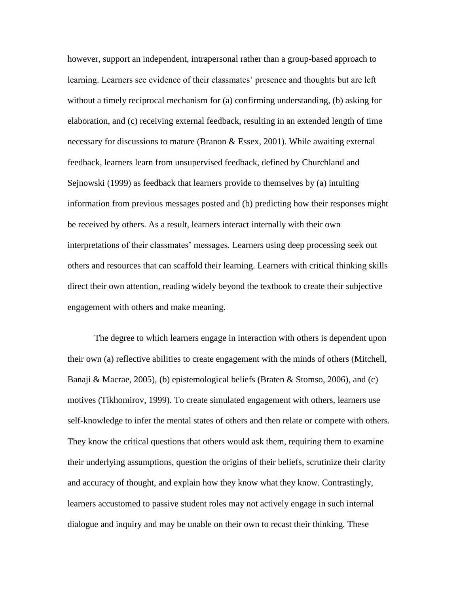however, support an independent, intrapersonal rather than a group-based approach to learning. Learners see evidence of their classmates' presence and thoughts but are left without a timely reciprocal mechanism for (a) confirming understanding, (b) asking for elaboration, and (c) receiving external feedback, resulting in an extended length of time necessary for discussions to mature (Branon & Essex, 2001). While awaiting external feedback, learners learn from unsupervised feedback, defined by Churchland and Sejnowski (1999) as feedback that learners provide to themselves by (a) intuiting information from previous messages posted and (b) predicting how their responses might be received by others. As a result, learners interact internally with their own interpretations of their classmates' messages. Learners using deep processing seek out others and resources that can scaffold their learning. Learners with critical thinking skills direct their own attention, reading widely beyond the textbook to create their subjective engagement with others and make meaning.

The degree to which learners engage in interaction with others is dependent upon their own (a) reflective abilities to create engagement with the minds of others (Mitchell, Banaji & Macrae, 2005), (b) epistemological beliefs (Braten & Stomso, 2006), and (c) motives (Tikhomirov, 1999). To create simulated engagement with others, learners use self-knowledge to infer the mental states of others and then relate or compete with others. They know the critical questions that others would ask them, requiring them to examine their underlying assumptions, question the origins of their beliefs, scrutinize their clarity and accuracy of thought, and explain how they know what they know. Contrastingly, learners accustomed to passive student roles may not actively engage in such internal dialogue and inquiry and may be unable on their own to recast their thinking. These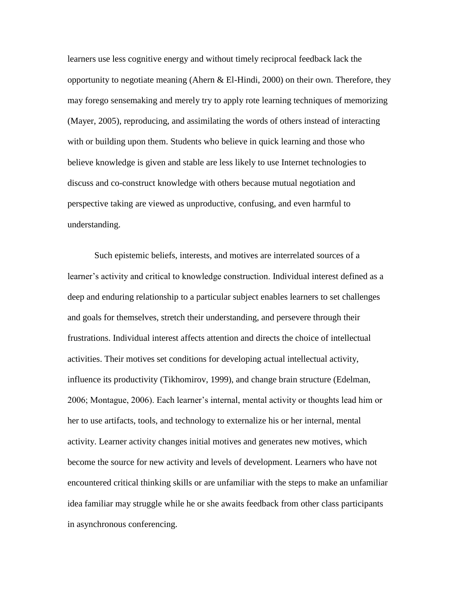learners use less cognitive energy and without timely reciprocal feedback lack the opportunity to negotiate meaning (Ahern & El-Hindi, 2000) on their own. Therefore, they may forego sensemaking and merely try to apply rote learning techniques of memorizing (Mayer, 2005), reproducing, and assimilating the words of others instead of interacting with or building upon them. Students who believe in quick learning and those who believe knowledge is given and stable are less likely to use Internet technologies to discuss and co-construct knowledge with others because mutual negotiation and perspective taking are viewed as unproductive, confusing, and even harmful to understanding.

Such epistemic beliefs, interests, and motives are interrelated sources of a learner's activity and critical to knowledge construction. Individual interest defined as a deep and enduring relationship to a particular subject enables learners to set challenges and goals for themselves, stretch their understanding, and persevere through their frustrations. Individual interest affects attention and directs the choice of intellectual activities. Their motives set conditions for developing actual intellectual activity, influence its productivity (Tikhomirov, 1999), and change brain structure (Edelman, 2006; Montague, 2006). Each learner's internal, mental activity or thoughts lead him or her to use artifacts, tools, and technology to externalize his or her internal, mental activity. Learner activity changes initial motives and generates new motives, which become the source for new activity and levels of development. Learners who have not encountered critical thinking skills or are unfamiliar with the steps to make an unfamiliar idea familiar may struggle while he or she awaits feedback from other class participants in asynchronous conferencing.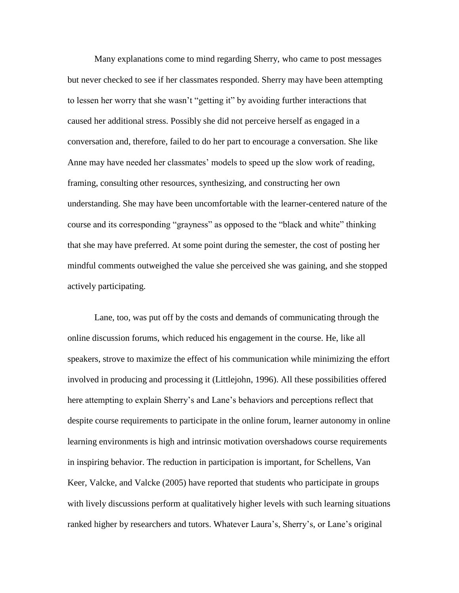Many explanations come to mind regarding Sherry, who came to post messages but never checked to see if her classmates responded. Sherry may have been attempting to lessen her worry that she wasn't "getting it" by avoiding further interactions that caused her additional stress. Possibly she did not perceive herself as engaged in a conversation and, therefore, failed to do her part to encourage a conversation. She like Anne may have needed her classmates' models to speed up the slow work of reading, framing, consulting other resources, synthesizing, and constructing her own understanding. She may have been uncomfortable with the learner-centered nature of the course and its corresponding "grayness" as opposed to the "black and white" thinking that she may have preferred. At some point during the semester, the cost of posting her mindful comments outweighed the value she perceived she was gaining, and she stopped actively participating.

Lane, too, was put off by the costs and demands of communicating through the online discussion forums, which reduced his engagement in the course. He, like all speakers, strove to maximize the effect of his communication while minimizing the effort involved in producing and processing it (Littlejohn, 1996). All these possibilities offered here attempting to explain Sherry's and Lane's behaviors and perceptions reflect that despite course requirements to participate in the online forum, learner autonomy in online learning environments is high and intrinsic motivation overshadows course requirements in inspiring behavior. The reduction in participation is important, for Schellens, Van Keer, Valcke, and Valcke (2005) have reported that students who participate in groups with lively discussions perform at qualitatively higher levels with such learning situations ranked higher by researchers and tutors. Whatever Laura's, Sherry's, or Lane's original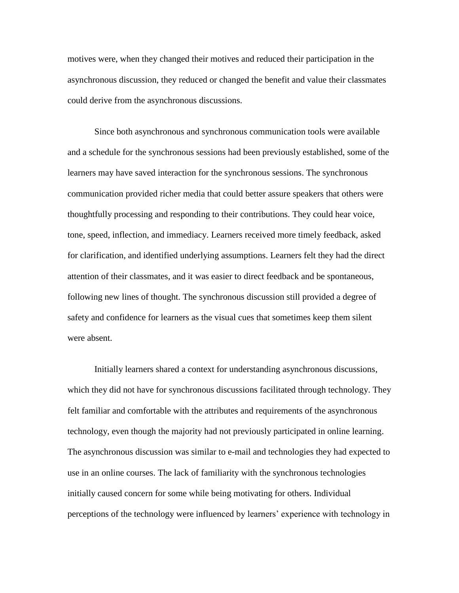motives were, when they changed their motives and reduced their participation in the asynchronous discussion, they reduced or changed the benefit and value their classmates could derive from the asynchronous discussions.

Since both asynchronous and synchronous communication tools were available and a schedule for the synchronous sessions had been previously established, some of the learners may have saved interaction for the synchronous sessions. The synchronous communication provided richer media that could better assure speakers that others were thoughtfully processing and responding to their contributions. They could hear voice, tone, speed, inflection, and immediacy. Learners received more timely feedback, asked for clarification, and identified underlying assumptions. Learners felt they had the direct attention of their classmates, and it was easier to direct feedback and be spontaneous, following new lines of thought. The synchronous discussion still provided a degree of safety and confidence for learners as the visual cues that sometimes keep them silent were absent.

Initially learners shared a context for understanding asynchronous discussions, which they did not have for synchronous discussions facilitated through technology. They felt familiar and comfortable with the attributes and requirements of the asynchronous technology, even though the majority had not previously participated in online learning. The asynchronous discussion was similar to e-mail and technologies they had expected to use in an online courses. The lack of familiarity with the synchronous technologies initially caused concern for some while being motivating for others. Individual perceptions of the technology were influenced by learners' experience with technology in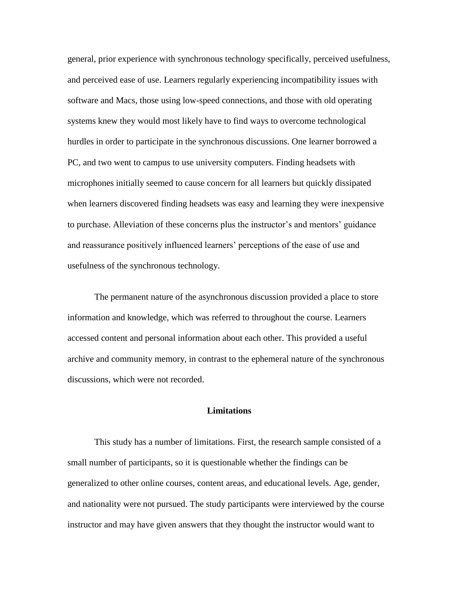general, prior experience with synchronous technology specifically, perceived usefulness, and perceived ease of use. Learners regularly experiencing incompatibility issues with software and Macs, those using low-speed connections, and those with old operating systems knew they would most likely have to find ways to overcome technological hurdles in order to participate in the synchronous discussions. One learner borrowed a PC, and two went to campus to use university computers. Finding headsets with microphones initially seemed to cause concern for all learners but quickly dissipated when learners discovered finding headsets was easy and learning they were inexpensive to purchase. Alleviation of these concerns plus the instructor's and mentors' guidance and reassurance positively influenced learners' perceptions of the ease of use and usefulness of the synchronous technology.

The permanent nature of the asynchronous discussion provided a place to store information and knowledge, which was referred to throughout the course. Learners accessed content and personal information about each other. This provided a useful archive and community memory, in contrast to the ephemeral nature of the synchronous discussions, which were not recorded.

# **Limitations**

This study has a number of limitations. First, the research sample consisted of a small number of participants, so it is questionable whether the findings can be generalized to other online courses, content areas, and educational levels. Age, gender, and nationality were not pursued. The study participants were interviewed by the course instructor and may have given answers that they thought the instructor would want to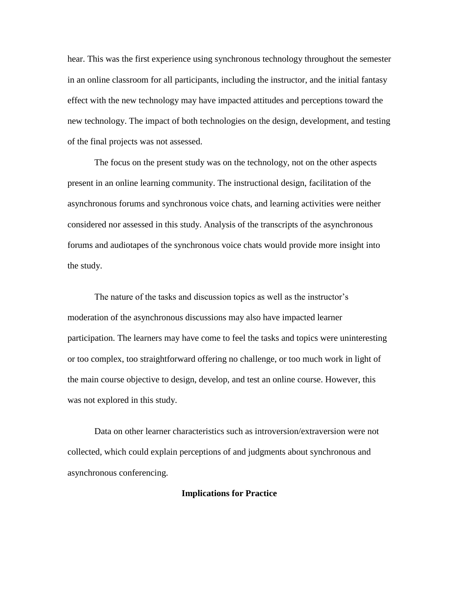hear. This was the first experience using synchronous technology throughout the semester in an online classroom for all participants, including the instructor, and the initial fantasy effect with the new technology may have impacted attitudes and perceptions toward the new technology. The impact of both technologies on the design, development, and testing of the final projects was not assessed.

The focus on the present study was on the technology, not on the other aspects present in an online learning community. The instructional design, facilitation of the asynchronous forums and synchronous voice chats, and learning activities were neither considered nor assessed in this study. Analysis of the transcripts of the asynchronous forums and audiotapes of the synchronous voice chats would provide more insight into the study.

The nature of the tasks and discussion topics as well as the instructor's moderation of the asynchronous discussions may also have impacted learner participation. The learners may have come to feel the tasks and topics were uninteresting or too complex, too straightforward offering no challenge, or too much work in light of the main course objective to design, develop, and test an online course. However, this was not explored in this study.

Data on other learner characteristics such as introversion/extraversion were not collected, which could explain perceptions of and judgments about synchronous and asynchronous conferencing.

# **Implications for Practice**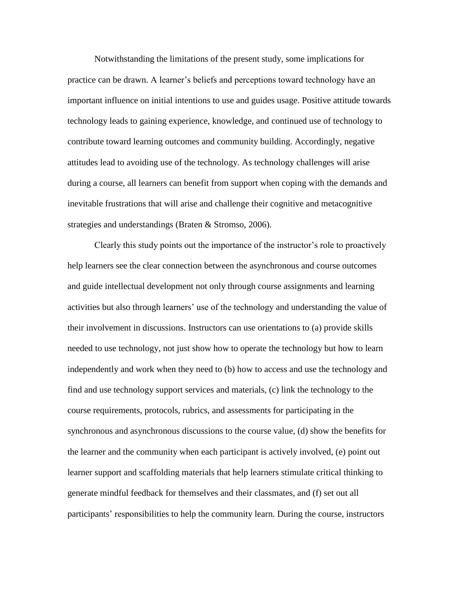Notwithstanding the limitations of the present study, some implications for practice can be drawn. A learner's beliefs and perceptions toward technology have an important influence on initial intentions to use and guides usage. Positive attitude towards technology leads to gaining experience, knowledge, and continued use of technology to contribute toward learning outcomes and community building. Accordingly, negative attitudes lead to avoiding use of the technology. As technology challenges will arise during a course, all learners can benefit from support when coping with the demands and inevitable frustrations that will arise and challenge their cognitive and metacognitive strategies and understandings (Braten & Stromso, 2006).

Clearly this study points out the importance of the instructor's role to proactively help learners see the clear connection between the asynchronous and course outcomes and guide intellectual development not only through course assignments and learning activities but also through learners' use of the technology and understanding the value of their involvement in discussions. Instructors can use orientations to (a) provide skills needed to use technology, not just show how to operate the technology but how to learn independently and work when they need to (b) how to access and use the technology and find and use technology support services and materials, (c) link the technology to the course requirements, protocols, rubrics, and assessments for participating in the synchronous and asynchronous discussions to the course value, (d) show the benefits for the learner and the community when each participant is actively involved, (e) point out learner support and scaffolding materials that help learners stimulate critical thinking to generate mindful feedback for themselves and their classmates, and (f) set out all participants' responsibilities to help the community learn. During the course, instructors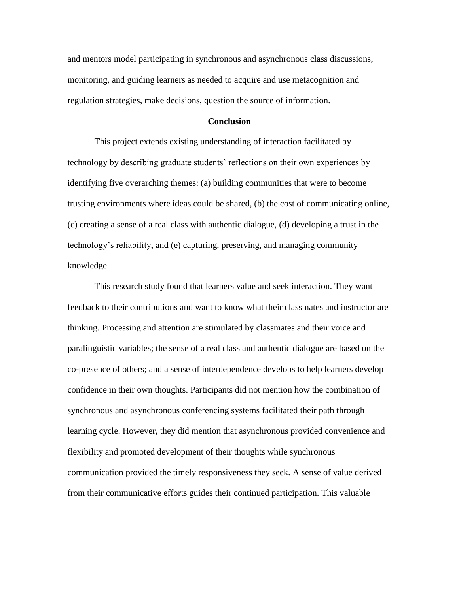and mentors model participating in synchronous and asynchronous class discussions, monitoring, and guiding learners as needed to acquire and use metacognition and regulation strategies, make decisions, question the source of information.

### **Conclusion**

This project extends existing understanding of interaction facilitated by technology by describing graduate students' reflections on their own experiences by identifying five overarching themes: (a) building communities that were to become trusting environments where ideas could be shared, (b) the cost of communicating online, (c) creating a sense of a real class with authentic dialogue, (d) developing a trust in the technology's reliability, and (e) capturing, preserving, and managing community knowledge.

This research study found that learners value and seek interaction. They want feedback to their contributions and want to know what their classmates and instructor are thinking. Processing and attention are stimulated by classmates and their voice and paralinguistic variables; the sense of a real class and authentic dialogue are based on the co-presence of others; and a sense of interdependence develops to help learners develop confidence in their own thoughts. Participants did not mention how the combination of synchronous and asynchronous conferencing systems facilitated their path through learning cycle. However, they did mention that asynchronous provided convenience and flexibility and promoted development of their thoughts while synchronous communication provided the timely responsiveness they seek. A sense of value derived from their communicative efforts guides their continued participation. This valuable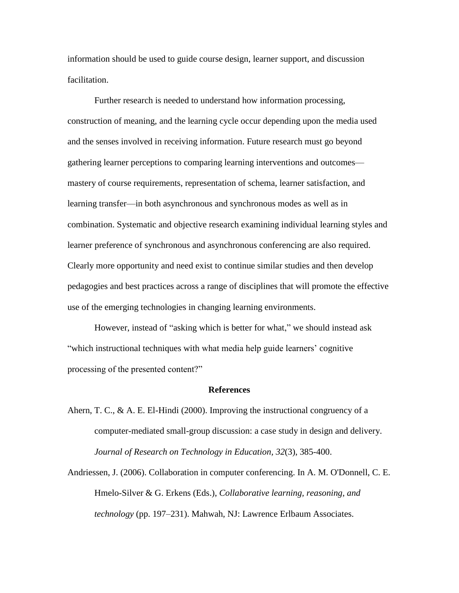information should be used to guide course design, learner support, and discussion facilitation.

Further research is needed to understand how information processing, construction of meaning, and the learning cycle occur depending upon the media used and the senses involved in receiving information. Future research must go beyond gathering learner perceptions to comparing learning interventions and outcomes mastery of course requirements, representation of schema, learner satisfaction, and learning transfer—in both asynchronous and synchronous modes as well as in combination. Systematic and objective research examining individual learning styles and learner preference of synchronous and asynchronous conferencing are also required. Clearly more opportunity and need exist to continue similar studies and then develop pedagogies and best practices across a range of disciplines that will promote the effective use of the emerging technologies in changing learning environments.

However, instead of "asking which is better for what," we should instead ask "which instructional techniques with what media help guide learners' cognitive processing of the presented content?"

#### **References**

- Ahern, T. C., & A. E. El-Hindi (2000). Improving the instructional congruency of a computer-mediated small-group discussion: a case study in design and delivery. *Journal of Research on Technology in Education, 32*(3), 385-400.
- Andriessen, J. (2006). Collaboration in computer conferencing. In A. M. O'Donnell, C. E. Hmelo-Silver & G. Erkens (Eds.), *Collaborative learning, reasoning, and technology* (pp. 197–231). Mahwah, NJ: Lawrence Erlbaum Associates.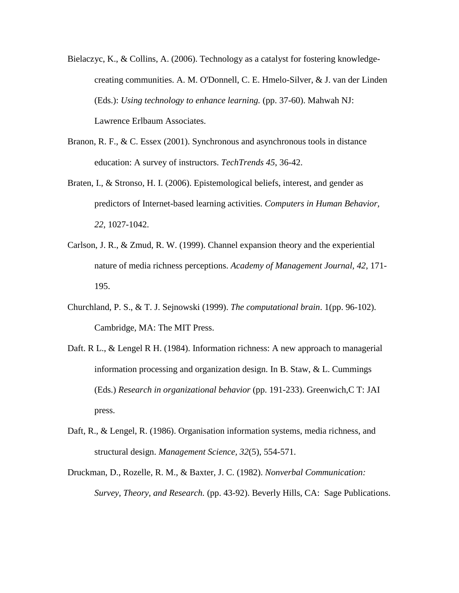- Bielaczyc, K., & Collins, A. (2006). Technology as a catalyst for fostering knowledgecreating communities. A. M. O'Donnell, C. E. Hmelo-Silver, & J. van der Linden (Eds.): *Using technology to enhance learning.* (pp. 37-60). Mahwah NJ: Lawrence Erlbaum Associates.
- Branon, R. F., & C. Essex (2001). Synchronous and asynchronous tools in distance education: A survey of instructors. *TechTrends 45*, 36-42.
- Braten, I., & Stronso, H. I. (2006). Epistemological beliefs, interest, and gender as predictors of Internet-based learning activities. *Computers in Human Behavior, 22*, 1027-1042.
- Carlson, J. R., & Zmud, R. W. (1999). Channel expansion theory and the experiential nature of media richness perceptions. *Academy of Management Journal, 42*, 171- 195.
- Churchland, P. S., & T. J. Sejnowski (1999). *The computational brain*. 1(pp. 96-102). Cambridge, MA: The MIT Press.
- Daft. R L., & Lengel R H. (1984). Information richness: A new approach to managerial information processing and organization design. In B. Staw, & L. Cummings (Eds.) *Research in organizational behavior* (pp. 191-233). Greenwich,C T: JAI press.
- Daft, R., & Lengel, R. (1986). Organisation information systems, media richness, and structural design. *Management Science, 32*(5), 554-571.
- Druckman, D., Rozelle, R. M., & Baxter, J. C. (1982). *Nonverbal Communication: Survey, Theory, and Research.* (pp. 43-92). Beverly Hills, CA: Sage Publications.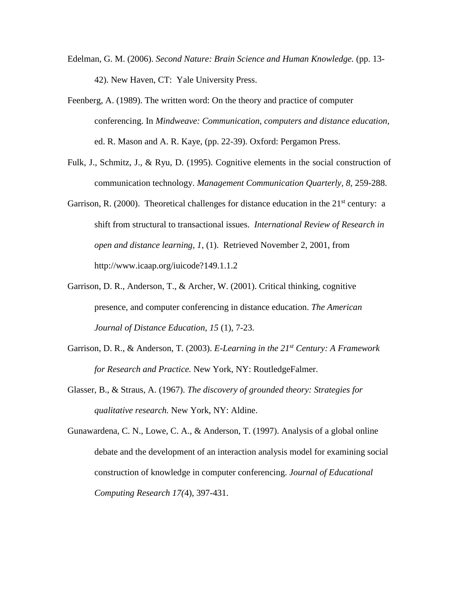- Edelman, G. M. (2006). *Second Nature: Brain Science and Human Knowledge.* (pp. 13- 42). New Haven, CT: Yale University Press.
- Feenberg, A. (1989). The written word: On the theory and practice of computer conferencing. In *Mindweave: Communication, computers and distance education,*  ed. R. Mason and A. R. Kaye, (pp. 22-39). Oxford: Pergamon Press.
- Fulk, J., Schmitz, J., & Ryu, D. (1995). Cognitive elements in the social construction of communication technology. *Management Communication Quarterly, 8,* 259-288.
- Garrison, R. (2000). Theoretical challenges for distance education in the  $21<sup>st</sup>$  century: a shift from structural to transactional issues. *International Review of Research in open and distance learning, 1,* (1). Retrieved November 2, 2001, from http://www.icaap.org/iuicode?149.1.1.2
- Garrison, D. R., Anderson, T., & Archer, W. (2001). Critical thinking, cognitive presence, and computer conferencing in distance education. *The American Journal of Distance Education, 15* (1), 7-23.
- Garrison, D. R., & Anderson, T. (2003). *E-Learning in the 21st Century: A Framework for Research and Practice.* New York, NY: RoutledgeFalmer.
- Glasser, B., & Straus, A. (1967). *The discovery of grounded theory: Strategies for qualitative research.* New York, NY: Aldine.

Gunawardena, C. N., Lowe, C. A., & Anderson, T. (1997). Analysis of a global online debate and the development of an interaction analysis model for examining social construction of knowledge in computer conferencing. *Journal of Educational Computing Research 17(*4), 397-431.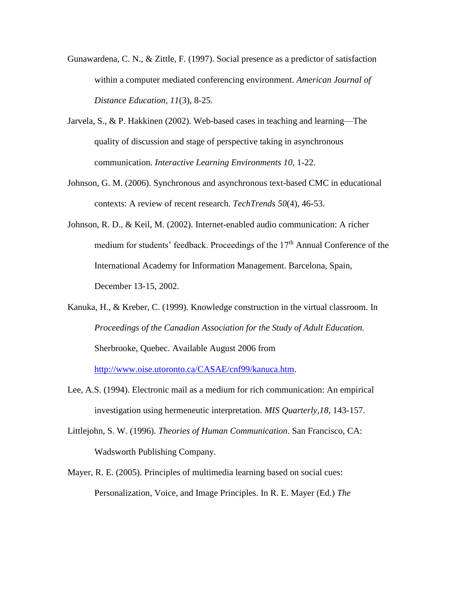- Gunawardena, C. N., & Zittle, F. (1997). Social presence as a predictor of satisfaction within a computer mediated conferencing environment. *American Journal of Distance Education, 11*(3), 8-25.
- Jarvela, S., & P. Hakkinen (2002). Web-based cases in teaching and learning—The quality of discussion and stage of perspective taking in asynchronous communication. *Interactive Learning Environments 10*, 1-22.
- Johnson, G. M. (2006). Synchronous and asynchronous text-based CMC in educational contexts: A review of recent research. *TechTrends 50*(4), 46-53.
- Johnson, R. D., & Keil, M. (2002). Internet-enabled audio communication: A richer medium for students' feedback. Proceedings of the 17<sup>th</sup> Annual Conference of the International Academy for Information Management. Barcelona, Spain, December 13-15, 2002.
- Kanuka, H., & Kreber, C. (1999). Knowledge construction in the virtual classroom. In *Proceedings of the Canadian Association for the Study of Adult Education.* Sherbrooke, Quebec. Available August 2006 from

[http://www.oise.utoronto.ca/CASAE/cnf99/kanuca.htm.](http://www.oise.utoronto.ca/CASAE/cnf99/kanuca.htm)

- Lee, A.S. (1994). Electronic mail as a medium for rich communication: An empirical investigation using hermeneutic interpretation. *MIS Quarterly,18*, 143-157.
- Littlejohn, S. W. (1996). *Theories of Human Communication*. San Francisco, CA: Wadsworth Publishing Company.
- Mayer, R. E. (2005). Principles of multimedia learning based on social cues: Personalization, Voice, and Image Principles. In R. E. Mayer (Ed.) *The*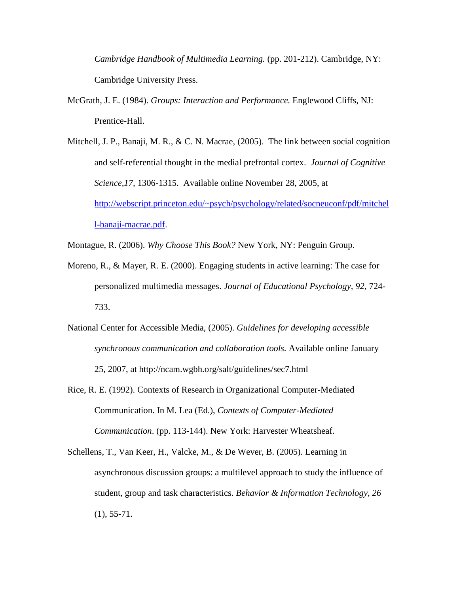*Cambridge Handbook of Multimedia Learning.* (pp. 201-212). Cambridge, NY: Cambridge University Press.

- McGrath, J. E. (1984). *Groups: Interaction and Performance.* Englewood Cliffs, NJ: Prentice-Hall.
- Mitchell, J. P., Banaji, M. R., & C. N. Macrae, (2005). The link between social cognition and self-referential thought in the medial prefrontal cortex. *Journal of Cognitive Science,17,* 1306-1315. Available online November 28, 2005, at [http://webscript.princeton.edu/~psych/psychology/related/socneuconf/pdf/mitchel](http://webscript.princeton.edu/~psych/psychology/related/socneuconf/pdf/mitchell-banaji-macrae.pdf) [l-banaji-macrae.pdf.](http://webscript.princeton.edu/~psych/psychology/related/socneuconf/pdf/mitchell-banaji-macrae.pdf)
- Montague, R. (2006). *Why Choose This Book?* New York, NY: Penguin Group.
- Moreno, R., & Mayer, R. E. (2000). Engaging students in active learning: The case for personalized multimedia messages. *Journal of Educational Psychology, 92,* 724- 733.
- National Center for Accessible Media, (2005). *Guidelines for developing accessible synchronous communication and collaboration tools.* Available online January 25, 2007, at http://ncam.wgbh.org/salt/guidelines/sec7.html
- Rice, R. E. (1992). Contexts of Research in Organizational Computer-Mediated Communication. In M. Lea (Ed.), *Contexts of Computer-Mediated Communication*. (pp. 113-144). New York: Harvester Wheatsheaf.
- Schellens, T., Van Keer, H., Valcke, M., & De Wever, B. (2005). Learning in asynchronous discussion groups: a multilevel approach to study the influence of student, group and task characteristics. *Behavior & Information Technology, 26*  $(1), 55-71.$